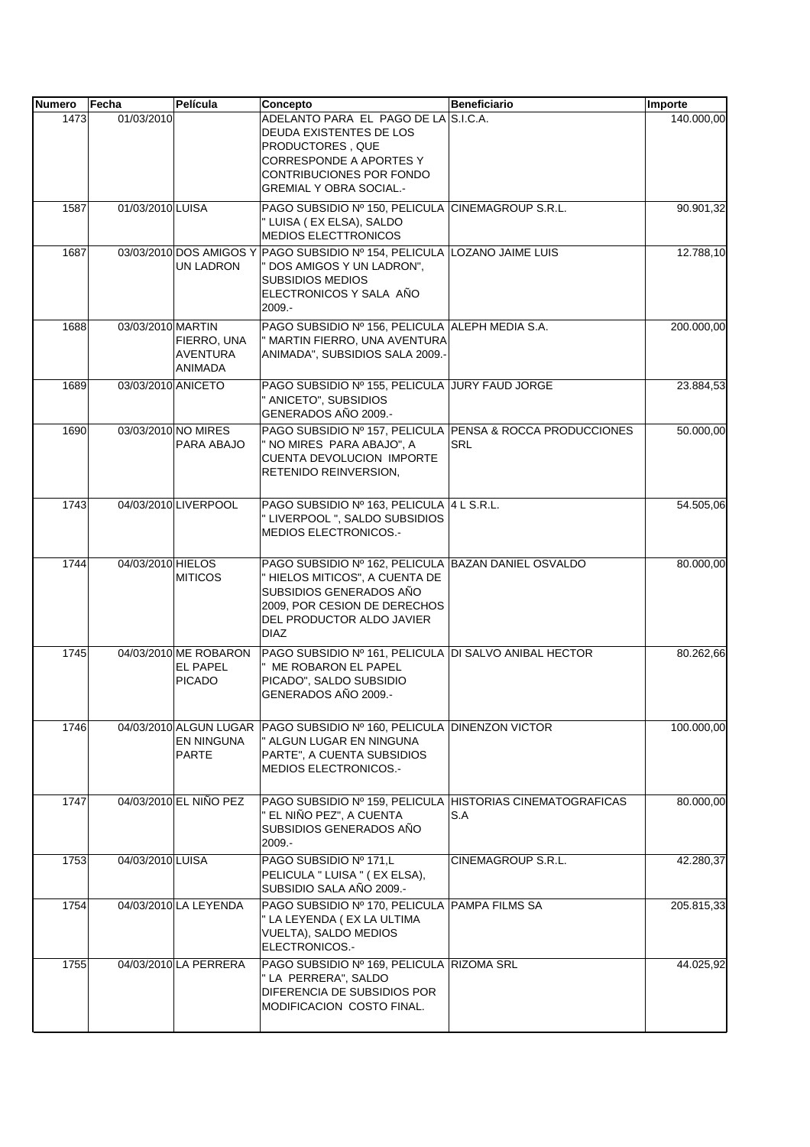| <b>Numero</b> | Fecha              | Película                                                    | Concepto                                                                                                                                                                                     | <b>Beneficiario</b> | Importe    |
|---------------|--------------------|-------------------------------------------------------------|----------------------------------------------------------------------------------------------------------------------------------------------------------------------------------------------|---------------------|------------|
| 1473          | 01/03/2010         |                                                             | ADELANTO PARA EL PAGO DE LA S.I.C.A.<br>DEUDA EXISTENTES DE LOS<br>PRODUCTORES, QUE<br><b>CORRESPONDE A APORTES Y</b><br>CONTRIBUCIONES POR FONDO<br><b>GREMIAL Y OBRA SOCIAL.-</b>          |                     | 140.000,00 |
| 1587          | 01/03/2010 LUISA   |                                                             | PAGO SUBSIDIO Nº 150, PELICULA CINEMAGROUP S.R.L.<br>" LUISA ( EX ELSA), SALDO<br><b>MEDIOS ELECTTRONICOS</b>                                                                                |                     | 90.901,32  |
| 1687          |                    | 03/03/2010 DOS AMIGOS Y<br>UN LADRON                        | PAGO SUBSIDIO Nº 154. PELICULA LOZANO JAIME LUIS<br>" DOS AMIGOS Y UN LADRON",<br><b>SUBSIDIOS MEDIOS</b><br>ELECTRONICOS Y SALA AÑO<br>2009.-                                               |                     | 12.788,10  |
| 1688          | 03/03/2010 MARTIN  | FIERRO, UNA<br>AVENTURA<br>ANIMADA                          | PAGO SUBSIDIO Nº 156, PELICULA ALEPH MEDIA S.A.<br>" MARTIN FIERRO, UNA AVENTURA<br>ANIMADA", SUBSIDIOS SALA 2009.-                                                                          |                     | 200.000,00 |
| 1689          | 03/03/2010 ANICETO |                                                             | PAGO SUBSIDIO Nº 155, PELICULA JURY FAUD JORGE<br>" ANICETO", SUBSIDIOS<br>GENERADOS AÑO 2009.-                                                                                              |                     | 23.884,53  |
| 1690          |                    | 03/03/2010 NO MIRES<br>PARA ABAJO                           | PAGO SUBSIDIO Nº 157, PELICULA PENSA & ROCCA PRODUCCIONES<br>" NO MIRES PARA ABAJO", A<br><b>CUENTA DEVOLUCION IMPORTE</b><br>RETENIDO REINVERSION,                                          | <b>SRL</b>          | 50.000,00  |
| 1743          |                    | 04/03/2010 LIVERPOOL                                        | PAGO SUBSIDIO Nº 163, PELICULA 4 L S.R.L.<br>" LIVERPOOL ", SALDO SUBSIDIOS<br>MEDIOS ELECTRONICOS.-                                                                                         |                     | 54.505,06  |
| 1744          | 04/03/2010 HIELOS  | <b>MITICOS</b>                                              | PAGO SUBSIDIO Nº 162, PELICULA BAZAN DANIEL OSVALDO<br>" HIELOS MITICOS", A CUENTA DE<br>SUBSIDIOS GENERADOS AÑO<br>2009, POR CESION DE DERECHOS<br>DEL PRODUCTOR ALDO JAVIER<br><b>DIAZ</b> |                     | 80.000,00  |
| 1745          |                    | 04/03/2010 ME ROBARON<br>EL PAPEL<br><b>PICADO</b>          | PAGO SUBSIDIO Nº 161, PELICULA DI SALVO ANIBAL HECTOR<br>" ME ROBARON EL PAPEL<br>PICADO", SALDO SUBSIDIO<br>GENERADOS AÑO 2009.-                                                            |                     | 80.262,66  |
| 1746          |                    | 04/03/2010 ALGUN LUGAR<br><b>EN NINGUNA</b><br><b>PARTE</b> | PAGO SUBSIDIO Nº 160, PELICULA DINENZON VICTOR<br>" ALGUN LUGAR EN NINGUNA<br>PARTE", A CUENTA SUBSIDIOS<br>MEDIOS ELECTRONICOS.-                                                            |                     | 100.000,00 |
| 1747          |                    | 04/03/2010 EL NIÑO PEZ                                      | PAGO SUBSIDIO Nº 159, PELICULA HISTORIAS CINEMATOGRAFICAS<br>" EL NIÑO PEZ", A CUENTA<br>SUBSIDIOS GENERADOS AÑO<br>$2009. -$                                                                | S.A                 | 80.000,00  |
| 1753          | 04/03/2010 LUISA   |                                                             | PAGO SUBSIDIO Nº 171,L<br>PELICULA " LUISA " (EX ELSA),<br>SUBSIDIO SALA AÑO 2009.-                                                                                                          | CINEMAGROUP S.R.L.  | 42.280,37  |
| 1754          |                    | 04/03/2010 LA LEYENDA                                       | PAGO SUBSIDIO Nº 170, PELICULA   PAMPA FILMS SA<br>" LA LEYENDA (EX LA ULTIMA<br>VUELTA), SALDO MEDIOS<br>ELECTRONICOS.-                                                                     |                     | 205.815,33 |
| 1755          |                    | 04/03/2010 LA PERRERA                                       | PAGO SUBSIDIO Nº 169, PELICULA RIZOMA SRL<br>" LA PERRERA", SALDO<br>DIFERENCIA DE SUBSIDIOS POR<br>MODIFICACION COSTO FINAL.                                                                |                     | 44.025,92  |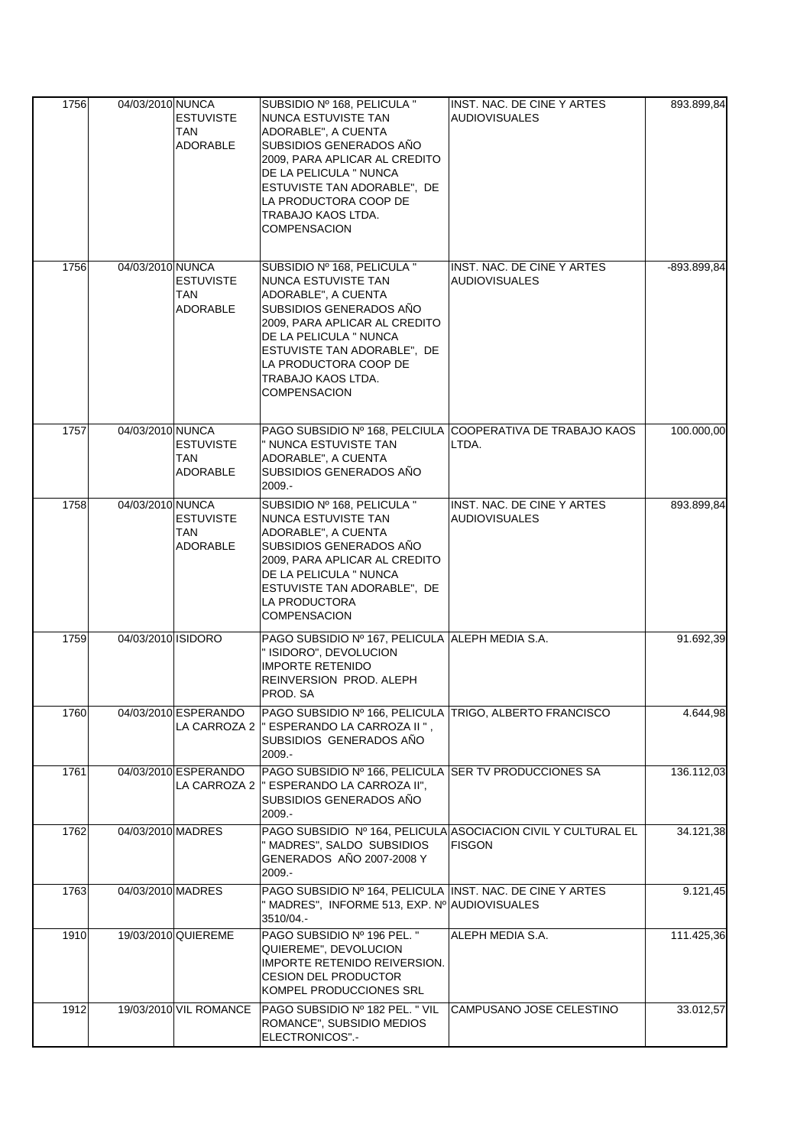| 1756         | 04/03/2010 NUNCA   | <b>ESTUVISTE</b><br>TAN<br><b>ADORABLE</b>    | SUBSIDIO Nº 168, PELICULA "<br>NUNCA ESTUVISTE TAN<br>ADORABLE", A CUENTA<br>SUBSIDIOS GENERADOS AÑO<br>2009, PARA APLICAR AL CREDITO<br>DE LA PELICULA " NUNCA<br>ESTUVISTE TAN ADORABLE", DE<br>LA PRODUCTORA COOP DE<br>TRABAJO KAOS LTDA.<br><b>COMPENSACION</b> | INST. NAC. DE CINE Y ARTES<br><b>AUDIOVISUALES</b>                             | 893.899,84              |
|--------------|--------------------|-----------------------------------------------|----------------------------------------------------------------------------------------------------------------------------------------------------------------------------------------------------------------------------------------------------------------------|--------------------------------------------------------------------------------|-------------------------|
| 1756         | 04/03/2010 NUNCA   | <b>ESTUVISTE</b><br>TAN<br><b>ADORABLE</b>    | SUBSIDIO Nº 168, PELICULA "<br>NUNCA ESTUVISTE TAN<br>ADORABLE", A CUENTA<br>SUBSIDIOS GENERADOS AÑO<br>2009, PARA APLICAR AL CREDITO<br>DE LA PELICULA " NUNCA<br>ESTUVISTE TAN ADORABLE", DE<br>LA PRODUCTORA COOP DE<br>TRABAJO KAOS LTDA.<br><b>COMPENSACION</b> | INST. NAC. DE CINE Y ARTES<br><b>AUDIOVISUALES</b>                             | -893.899,84             |
| 1757         | 04/03/2010 NUNCA   | <b>ESTUVISTE</b><br>TAN<br><b>ADORABLE</b>    | " NUNCA ESTUVISTE TAN<br>ADORABLE", A CUENTA<br>SUBSIDIOS GENERADOS AÑO<br>2009.-                                                                                                                                                                                    | PAGO SUBSIDIO Nº 168, PELCIULA COOPERATIVA DE TRABAJO KAOS<br>LTDA.            | 100.000,00              |
| 1758         | 04/03/2010 NUNCA   | <b>ESTUVISTE</b><br>TAN<br>ADORABLE           | SUBSIDIO Nº 168, PELICULA "<br>NUNCA ESTUVISTE TAN<br>ADORABLE", A CUENTA<br>SUBSIDIOS GENERADOS AÑO<br>2009, PARA APLICAR AL CREDITO<br>DE LA PELICULA " NUNCA<br>ESTUVISTE TAN ADORABLE", DE<br>LA PRODUCTORA<br><b>COMPENSACION</b>                               | INST. NAC. DE CINE Y ARTES<br><b>AUDIOVISUALES</b>                             | 893.899,84              |
| 1759         | 04/03/2010 ISIDORO |                                               | PAGO SUBSIDIO Nº 167, PELICULA ALEPH MEDIA S.A.<br>" ISIDORO", DEVOLUCION<br><b>IMPORTE RETENIDO</b><br>REINVERSION PROD. ALEPH<br>PROD. SA                                                                                                                          |                                                                                | 91.692,39               |
| 1760         |                    | 04/03/2010 ESPERANDO<br>LA CARROZA 2          | PAGO SUBSIDIO Nº 166, PELICULA TRIGO, ALBERTO FRANCISCO<br>" ESPERANDO LA CARROZA II",<br>SUBSIDIOS GENERADOS AÑO<br>2009.-                                                                                                                                          |                                                                                | 4.644,98                |
| 1761         |                    | 04/03/2010 ESPERANDO<br>LA CARROZA 2          | PAGO SUBSIDIO Nº 166, PELICULA SER TV PRODUCCIONES SA<br>" ESPERANDO LA CARROZA II".<br>SUBSIDIOS GENERADOS AÑO<br>2009.-                                                                                                                                            |                                                                                | 136.112,03              |
| 1762         | 04/03/2010 MADRES  |                                               | " MADRES", SALDO SUBSIDIOS<br>GENERADOS AÑO 2007-2008 Y<br>$2009. -$                                                                                                                                                                                                 | PAGO SUBSIDIO Nº 164, PELICULA ASOCIACION CIVIL Y CULTURAL EL<br><b>FISGON</b> | 34.121,38               |
| 1763         | 04/03/2010 MADRES  |                                               | PAGO SUBSIDIO Nº 164, PELICULA INST. NAC. DE CINE Y ARTES<br>" MADRES", INFORME 513, EXP. Nº AUDIOVISUALES<br>3510/04 .-                                                                                                                                             |                                                                                | 9.121,45                |
| 1910<br>1912 |                    | 19/03/2010 QUIEREME<br>19/03/2010 VIL ROMANCE | PAGO SUBSIDIO Nº 196 PEL. "<br>QUIEREME", DEVOLUCION<br>IMPORTE RETENIDO REIVERSION.<br><b>CESION DEL PRODUCTOR</b><br>KOMPEL PRODUCCIONES SRL<br>PAGO SUBSIDIO Nº 182 PEL. " VIL                                                                                    | ALEPH MEDIA S.A.<br>CAMPUSANO JOSE CELESTINO                                   | 111.425,36<br>33.012,57 |
|              |                    |                                               | ROMANCE", SUBSIDIO MEDIOS<br>ELECTRONICOS".-                                                                                                                                                                                                                         |                                                                                |                         |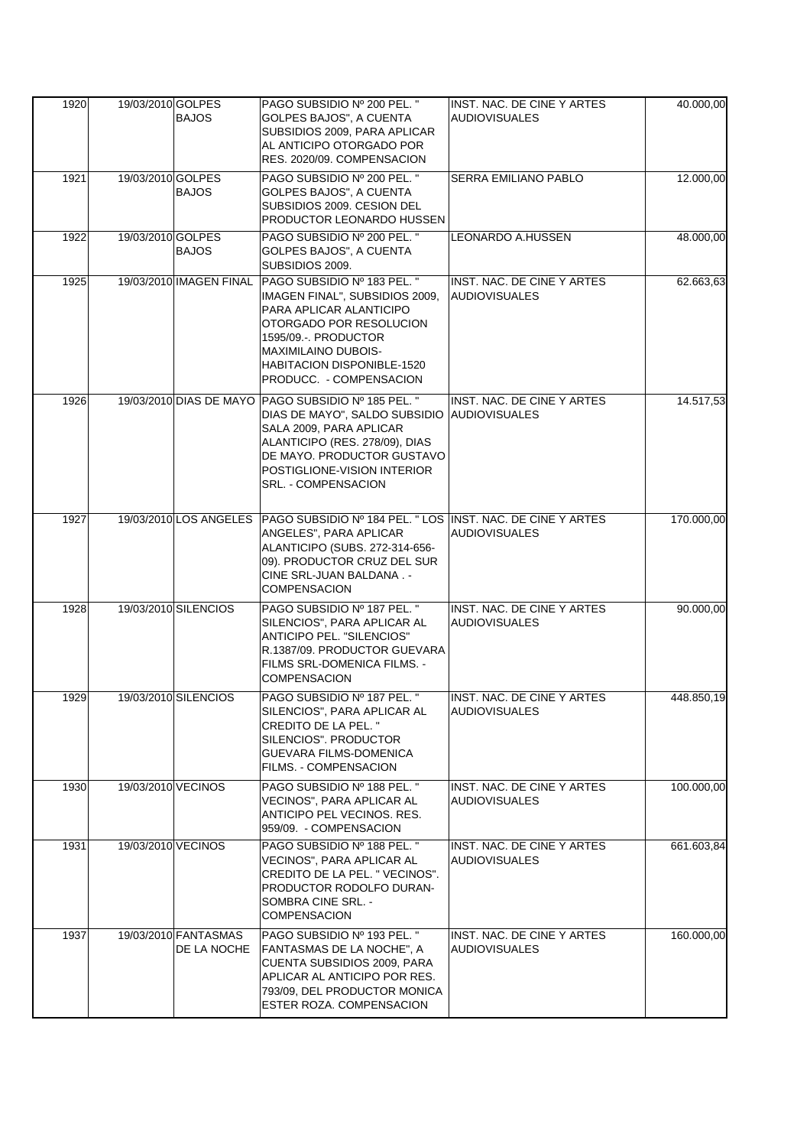| 1920<br>19/03/2010 GOLPES | <b>BAJOS</b>                        | PAGO SUBSIDIO Nº 200 PEL. "<br>GOLPES BAJOS", A CUENTA                                                                                                                                                                                   | INST. NAC. DE CINE Y ARTES<br><b>AUDIOVISUALES</b> | 40.000,00  |
|---------------------------|-------------------------------------|------------------------------------------------------------------------------------------------------------------------------------------------------------------------------------------------------------------------------------------|----------------------------------------------------|------------|
|                           |                                     | SUBSIDIOS 2009, PARA APLICAR<br>AL ANTICIPO OTORGADO POR<br>RES. 2020/09. COMPENSACION                                                                                                                                                   |                                                    |            |
| 1921<br>19/03/2010 GOLPES | <b>BAJOS</b>                        | PAGO SUBSIDIO Nº 200 PEL. "<br>GOLPES BAJOS", A CUENTA<br>SUBSIDIOS 2009. CESION DEL<br>PRODUCTOR LEONARDO HUSSEN                                                                                                                        | <b>SERRA EMILIANO PABLO</b>                        | 12.000,00  |
| 1922<br>19/03/2010 GOLPES | <b>BAJOS</b>                        | PAGO SUBSIDIO Nº 200 PEL. "<br>GOLPES BAJOS", A CUENTA<br>SUBSIDIOS 2009.                                                                                                                                                                | <b>LEONARDO A.HUSSEN</b>                           | 48.000,00  |
| 1925                      | 19/03/2010 IMAGEN FINAL             | PAGO SUBSIDIO № 183 PEL. "<br>IMAGEN FINAL", SUBSIDIOS 2009,<br>PARA APLICAR ALANTICIPO<br>OTORGADO POR RESOLUCION<br>1595/09.-. PRODUCTOR<br><b>MAXIMILAINO DUBOIS-</b><br><b>HABITACION DISPONIBLE-1520</b><br>PRODUCC. - COMPENSACION | INST. NAC. DE CINE Y ARTES<br> AUDIOVISUALES       | 62.663,63  |
| 1926                      | 19/03/2010 DIAS DE MAYO             | PAGO SUBSIDIO Nº 185 PEL. "<br>DIAS DE MAYO", SALDO SUBSIDIO<br>SALA 2009, PARA APLICAR<br>ALANTICIPO (RES. 278/09), DIAS<br>DE MAYO. PRODUCTOR GUSTAVO<br>POSTIGLIONE-VISION INTERIOR<br>SRL. - COMPENSACION                            | INST. NAC. DE CINE Y ARTES<br><b>AUDIOVISUALES</b> | 14.517,53  |
| 1927                      | 19/03/2010 LOS ANGELES              | PAGO SUBSIDIO Nº 184 PEL. " LOS INST. NAC. DE CINE Y ARTES<br>ANGELES", PARA APLICAR<br>ALANTICIPO (SUBS. 272-314-656-<br>09). PRODUCTOR CRUZ DEL SUR<br>CINE SRL-JUAN BALDANA. -<br><b>COMPENSACION</b>                                 | <b>AUDIOVISUALES</b>                               | 170.000,00 |
| 1928                      | 19/03/2010 SILENCIOS                | PAGO SUBSIDIO Nº 187 PEL. "<br>SILENCIOS", PARA APLICAR AL<br>ANTICIPO PEL. "SILENCIOS"<br>R.1387/09. PRODUCTOR GUEVARA<br>FILMS SRL-DOMENICA FILMS. -<br><b>COMPENSACION</b>                                                            | INST. NAC. DE CINE Y ARTES<br><b>AUDIOVISUALES</b> | 90.000,00  |
| 1929                      | 19/03/2010 SILENCIOS                | PAGO SUBSIDIO Nº 187 PEL. "<br>SILENCIOS", PARA APLICAR AL<br>CREDITO DE LA PEL. "<br>SILENCIOS", PRODUCTOR<br>GUEVARA FILMS-DOMENICA<br>FILMS. - COMPENSACION                                                                           | INST. NAC. DE CINE Y ARTES<br><b>AUDIOVISUALES</b> | 448.850,19 |
| 1930                      | 19/03/2010 VECINOS                  | PAGO SUBSIDIO Nº 188 PEL. "<br>VECINOS". PARA APLICAR AL<br>ANTICIPO PEL VECINOS. RES.<br>959/09. - COMPENSACION                                                                                                                         | INST. NAC. DE CINE Y ARTES<br><b>AUDIOVISUALES</b> | 100.000,00 |
| 1931                      | 19/03/2010 VECINOS                  | PAGO SUBSIDIO Nº 188 PEL. "<br>VECINOS", PARA APLICAR AL<br>CREDITO DE LA PEL. " VECINOS".<br>PRODUCTOR RODOLFO DURAN-<br>SOMBRA CINE SRL. -<br><b>COMPENSACION</b>                                                                      | INST. NAC. DE CINE Y ARTES<br><b>AUDIOVISUALES</b> | 661.603,84 |
| 1937                      | 19/03/2010 FANTASMAS<br>DE LA NOCHE | PAGO SUBSIDIO Nº 193 PEL. "<br>FANTASMAS DE LA NOCHE", A<br>CUENTA SUBSIDIOS 2009, PARA<br>APLICAR AL ANTICIPO POR RES.<br>793/09, DEL PRODUCTOR MONICA<br>ESTER ROZA. COMPENSACION                                                      | INST. NAC. DE CINE Y ARTES<br><b>AUDIOVISUALES</b> | 160.000,00 |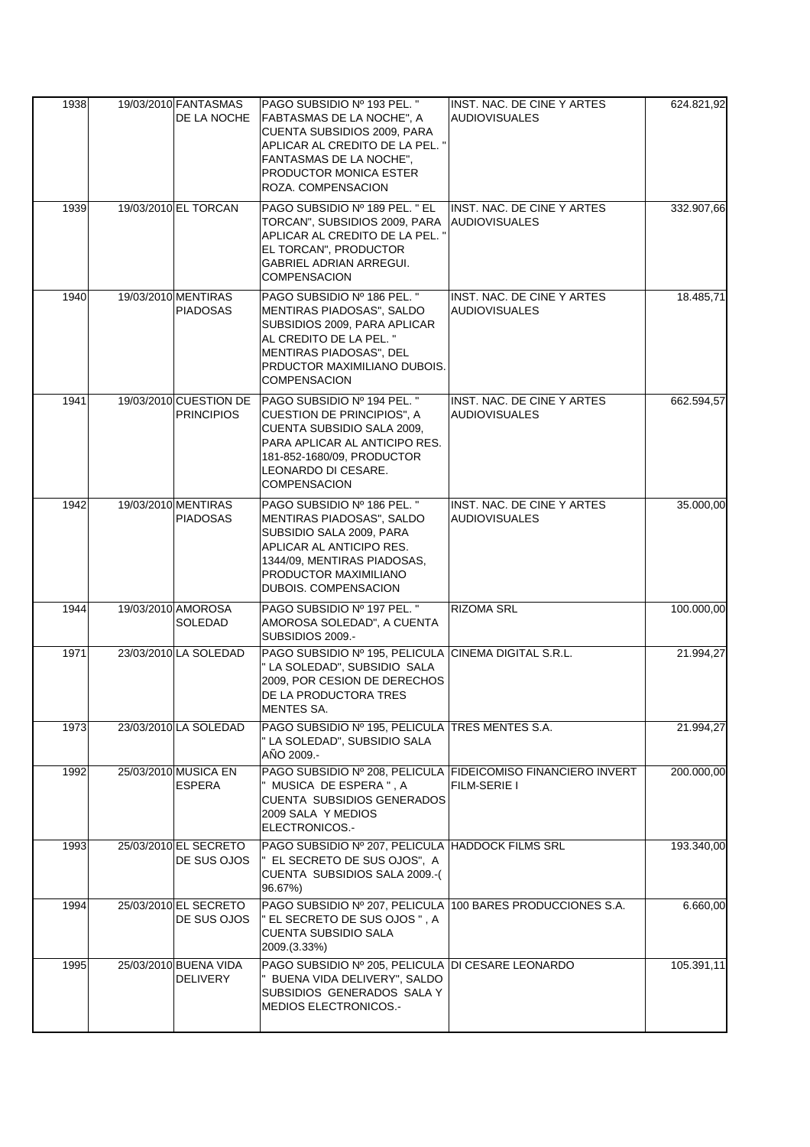| 1938 | 19/03/2010 FANTASMAS<br>DE LA NOCHE         | PAGO SUBSIDIO Nº 193 PEL. "<br>FABTASMAS DE LA NOCHE". A                                                                                                                                                           | INST. NAC. DE CINE Y ARTES<br><b>AUDIOVISUALES</b>                           | 624.821,92 |
|------|---------------------------------------------|--------------------------------------------------------------------------------------------------------------------------------------------------------------------------------------------------------------------|------------------------------------------------------------------------------|------------|
|      |                                             | CUENTA SUBSIDIOS 2009, PARA<br>APLICAR AL CREDITO DE LA PEL. "<br>FANTASMAS DE LA NOCHE",<br>PRODUCTOR MONICA ESTER<br>ROZA. COMPENSACION                                                                          |                                                                              |            |
| 1939 | 19/03/2010 EL TORCAN                        | PAGO SUBSIDIO Nº 189 PEL. " EL<br>TORCAN", SUBSIDIOS 2009, PARA<br>APLICAR AL CREDITO DE LA PEL. "<br>EL TORCAN", PRODUCTOR<br>GABRIEL ADRIAN ARREGUI.<br><b>COMPENSACION</b>                                      | INST. NAC. DE CINE Y ARTES<br><b>AUDIOVISUALES</b>                           | 332.907,66 |
| 1940 | 19/03/2010 MENTIRAS<br><b>PIADOSAS</b>      | PAGO SUBSIDIO Nº 186 PEL. "<br>MENTIRAS PIADOSAS", SALDO<br>SUBSIDIOS 2009, PARA APLICAR<br>AL CREDITO DE LA PEL. "<br>MENTIRAS PIADOSAS", DEL<br>PRDUCTOR MAXIMILIANO DUBOIS.<br><b>COMPENSACION</b>              | INST. NAC. DE CINE Y ARTES<br><b>AUDIOVISUALES</b>                           | 18.485,71  |
| 1941 | 19/03/2010 CUESTION DE<br><b>PRINCIPIOS</b> | PAGO SUBSIDIO Nº 194 PEL. "<br><b>CUESTION DE PRINCIPIOS", A</b><br><b>CUENTA SUBSIDIO SALA 2009,</b><br>PARA APLICAR AL ANTICIPO RES.<br>181-852-1680/09, PRODUCTOR<br>LEONARDO DI CESARE.<br><b>COMPENSACION</b> | INST. NAC. DE CINE Y ARTES<br><b>AUDIOVISUALES</b>                           | 662.594,57 |
| 1942 | 19/03/2010 MENTIRAS<br><b>PIADOSAS</b>      | PAGO SUBSIDIO Nº 186 PEL. "<br>MENTIRAS PIADOSAS", SALDO<br>SUBSIDIO SALA 2009, PARA<br>APLICAR AL ANTICIPO RES.<br>1344/09, MENTIRAS PIADOSAS,<br>PRODUCTOR MAXIMILIANO<br><b>DUBOIS, COMPENSACION</b>            | INST. NAC. DE CINE Y ARTES<br><b>AUDIOVISUALES</b>                           | 35.000,00  |
| 1944 | 19/03/2010 AMOROSA<br>SOLEDAD               | PAGO SUBSIDIO Nº 197 PEL. "<br>AMOROSA SOLEDAD", A CUENTA<br>SUBSIDIOS 2009.-                                                                                                                                      | <b>RIZOMA SRL</b>                                                            | 100.000,00 |
| 1971 | 23/03/2010 LA SOLEDAD                       | PAGO SUBSIDIO Nº 195, PELICULA CINEMA DIGITAL S.R.L.<br>" LA SOLEDAD", SUBSIDIO SALA<br>2009, POR CESION DE DERECHOS<br>DE LA PRODUCTORA TRES<br>MENTES SA.                                                        |                                                                              | 21.994,27  |
| 1973 | 23/03/2010 LA SOLEDAD                       | PAGO SUBSIDIO Nº 195, PELICULA TRES MENTES S.A.<br>" LA SOLEDAD", SUBSIDIO SALA<br>AÑO 2009.-                                                                                                                      |                                                                              | 21.994,27  |
| 1992 | 25/03/2010 MUSICA EN<br><b>ESPERA</b>       | " MUSICA DE ESPERA ". A<br><b>CUENTA SUBSIDIOS GENERADOS</b><br>2009 SALA Y MEDIOS<br>ELECTRONICOS.-                                                                                                               | PAGO SUBSIDIO Nº 208, PELICULA FIDEICOMISO FINANCIERO INVERT<br>FILM-SERIE I | 200.000,00 |
| 1993 | 25/03/2010 EL SECRETO<br>DE SUS OJOS        | PAGO SUBSIDIO Nº 207, PELICULA HADDOCK FILMS SRL<br>" EL SECRETO DE SUS OJOS", A<br>CUENTA SUBSIDIOS SALA 2009.-(<br>96.67%)                                                                                       |                                                                              | 193.340,00 |
| 1994 | 25/03/2010 EL SECRETO<br>DE SUS OJOS        | PAGO SUBSIDIO Nº 207, PELICULA 100 BARES PRODUCCIONES S.A.<br>" EL SECRETO DE SUS OJOS ", A<br><b>CUENTA SUBSIDIO SALA</b><br>2009.(3.33%)                                                                         |                                                                              | 6.660,00   |
| 1995 | 25/03/2010 BUENA VIDA<br><b>DELIVERY</b>    | PAGO SUBSIDIO Nº 205, PELICULA DI CESARE LEONARDO<br>" BUENA VIDA DELIVERY", SALDO<br>SUBSIDIOS GENERADOS SALA Y<br><b>MEDIOS ELECTRONICOS.</b>                                                                    |                                                                              | 105.391,11 |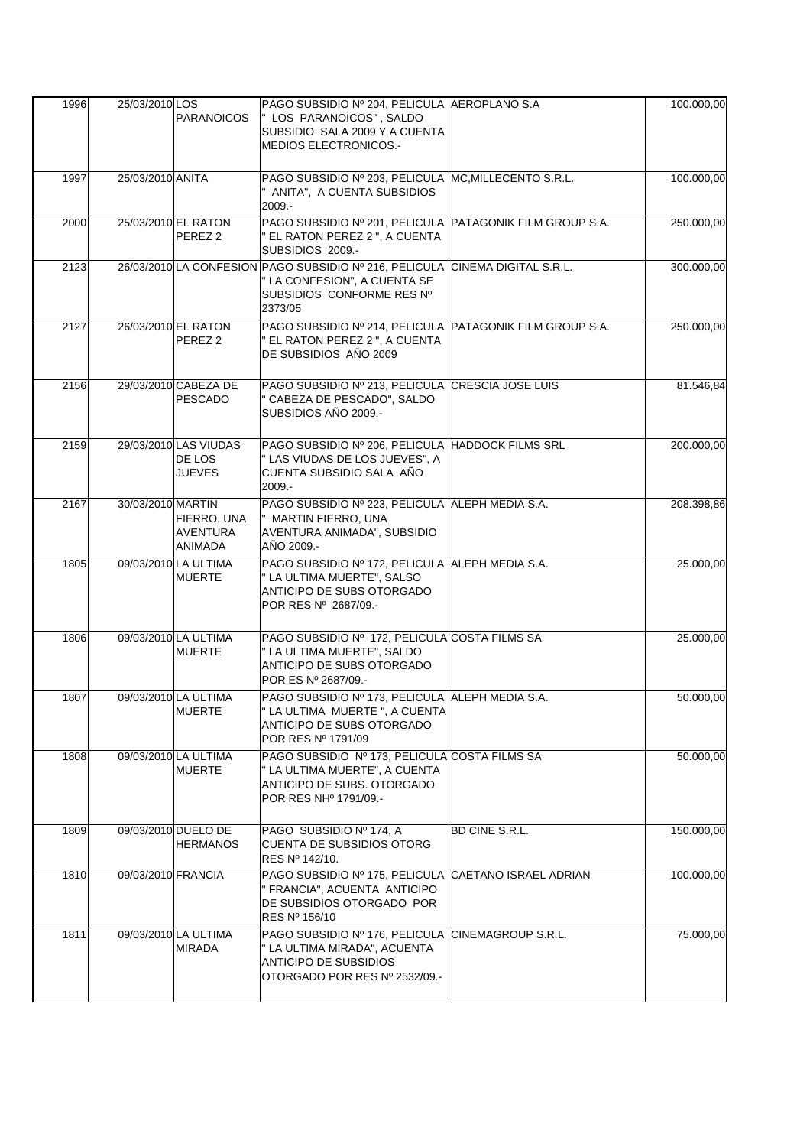| 1996 | 25/03/2010 LOS     |                                                  | PAGO SUBSIDIO Nº 204, PELICULA AEROPLANO S.A                                                                                                         |                | 100.000,00 |
|------|--------------------|--------------------------------------------------|------------------------------------------------------------------------------------------------------------------------------------------------------|----------------|------------|
|      |                    | <b>PARANOICOS</b>                                | " LOS PARANOICOS", SALDO<br>SUBSIDIO SALA 2009 Y A CUENTA<br>MEDIOS ELECTRONICOS.-                                                                   |                |            |
|      |                    |                                                  |                                                                                                                                                      |                |            |
| 1997 | 25/03/2010 ANITA   |                                                  | PAGO SUBSIDIO Nº 203, PELICULA MC, MILLECENTO S.R.L.<br>ANITA", A CUENTA SUBSIDIOS<br>2009.-                                                         |                | 100.000,00 |
| 2000 |                    | 25/03/2010 EL RATON<br>PEREZ 2                   | PAGO SUBSIDIO Nº 201, PELICULA PATAGONIK FILM GROUP S.A.<br>" EL RATON PEREZ 2 ", A CUENTA<br>SUBSIDIOS 2009.-                                       |                | 250.000,00 |
| 2123 |                    |                                                  | 26/03/2010 LA CONFESION PAGO SUBSIDIO Nº 216, PELICULA CINEMA DIGITAL S.R.L.<br>" LA CONFESION", A CUENTA SE<br>SUBSIDIOS CONFORME RES Nº<br>2373/05 |                | 300.000,00 |
| 2127 |                    | 26/03/2010 EL RATON<br>PEREZ <sub>2</sub>        | PAGO SUBSIDIO Nº 214, PELICULA PATAGONIK FILM GROUP S.A.<br>" EL RATON PEREZ 2 ", A CUENTA<br>DE SUBSIDIOS AÑO 2009                                  |                | 250.000,00 |
| 2156 |                    | 29/03/2010 CABEZA DE<br><b>PESCADO</b>           | PAGO SUBSIDIO Nº 213, PELICULA CRESCIA JOSE LUIS<br>" CABEZA DE PESCADO", SALDO<br>SUBSIDIOS AÑO 2009.-                                              |                | 81.546,84  |
| 2159 |                    | 29/03/2010 LAS VIUDAS<br>DE LOS<br><b>JUEVES</b> | PAGO SUBSIDIO Nº 206, PELICULA HADDOCK FILMS SRL<br>" LAS VIUDAS DE LOS JUEVES", A<br>CUENTA SUBSIDIO SALA AÑO<br>2009.-                             |                | 200.000,00 |
| 2167 | 30/03/2010 MARTIN  | FIERRO, UNA<br>AVENTURA<br>ANIMADA               | PAGO SUBSIDIO Nº 223, PELICULA ALEPH MEDIA S.A.<br>" MARTIN FIERRO, UNA<br>AVENTURA ANIMADA", SUBSIDIO<br>AÑO 2009.-                                 |                | 208.398,86 |
| 1805 |                    | 09/03/2010 LA ULTIMA<br><b>MUERTE</b>            | PAGO SUBSIDIO Nº 172, PELICULA ALEPH MEDIA S.A.<br>" LA ULTIMA MUERTE", SALSO<br>ANTICIPO DE SUBS OTORGADO<br>POR RES Nº 2687/09.-                   |                | 25.000,00  |
| 1806 |                    | 09/03/2010 LA ULTIMA<br><b>MUERTE</b>            | PAGO SUBSIDIO Nº 172, PELICULA COSTA FILMS SA<br>" LA ULTIMA MUERTE", SALDO<br>ANTICIPO DE SUBS OTORGADO<br>POR ES Nº 2687/09.-                      |                | 25.000,00  |
| 1807 |                    | 09/03/2010 LA ULTIMA<br><b>MUERTE</b>            | PAGO SUBSIDIO Nº 173, PELICULA ALEPH MEDIA S.A.<br>" LA ULTIMA MUERTE ", A CUENTA<br>ANTICIPO DE SUBS OTORGADO<br>POR RES Nº 1791/09                 |                | 50.000,00  |
| 1808 |                    | 09/03/2010 LA ULTIMA<br><b>MUERTE</b>            | PAGO SUBSIDIO Nº 173, PELICULA COSTA FILMS SA<br>" LA ULTIMA MUERTE", A CUENTA<br>ANTICIPO DE SUBS. OTORGADO<br>POR RES NH <sup>o</sup> 1791/09.-    |                | 50.000, 00 |
| 1809 |                    | 09/03/2010 DUELO DE<br><b>HERMANOS</b>           | PAGO SUBSIDIO Nº 174, A<br><b>CUENTA DE SUBSIDIOS OTORG</b><br>RES Nº 142/10.                                                                        | BD CINE S.R.L. | 150.000,00 |
| 1810 | 09/03/2010 FRANCIA |                                                  | PAGO SUBSIDIO Nº 175, PELICULA CAETANO ISRAEL ADRIAN<br>" FRANCIA", ACUENTA ANTICIPO<br>DE SUBSIDIOS OTORGADO POR<br>RES Nº 156/10                   |                | 100.000,00 |
| 1811 |                    | 09/03/2010 LA ULTIMA<br><b>MIRADA</b>            | PAGO SUBSIDIO Nº 176, PELICULA CINEMAGROUP S.R.L.<br>" LA ULTIMA MIRADA", ACUENTA<br>ANTICIPO DE SUBSIDIOS<br>OTORGADO POR RES Nº 2532/09.-          |                | 75.000,00  |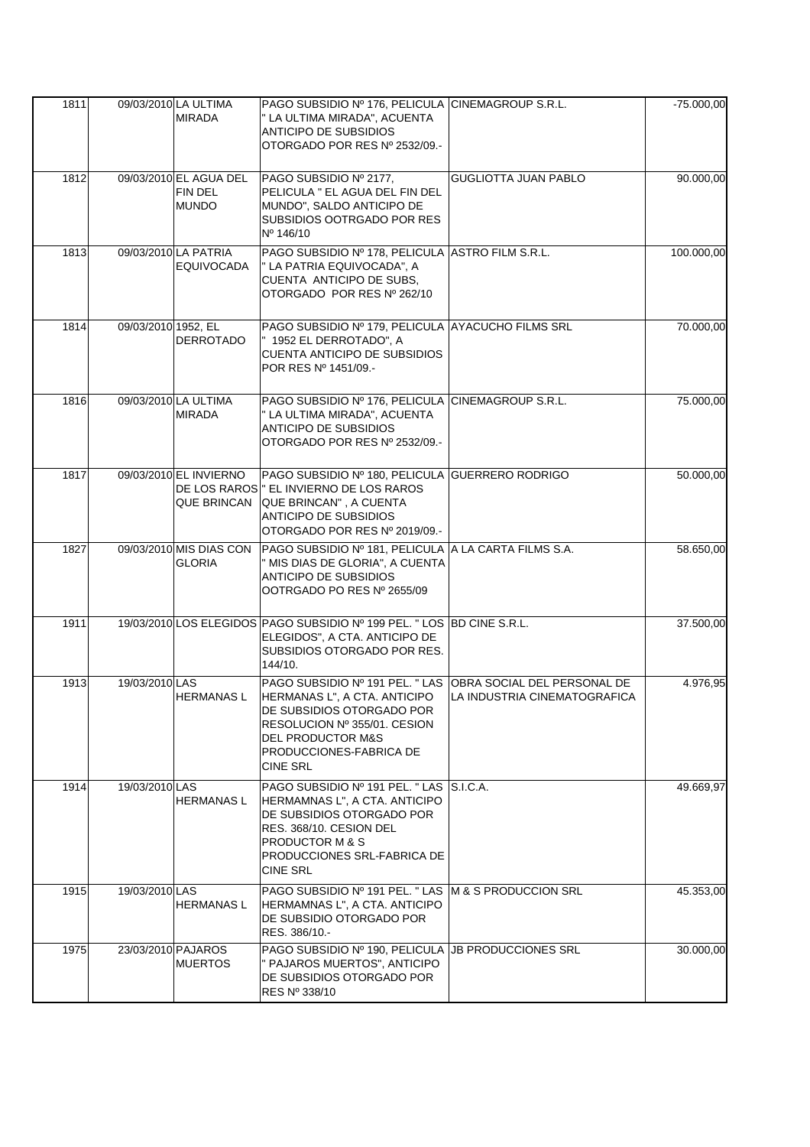| 1811 |                     | 09/03/2010 LA ULTIMA<br><b>MIRADA</b>             | PAGO SUBSIDIO Nº 176, PELICULA CINEMAGROUP S.R.L.<br>" LA ULTIMA MIRADA", ACUENTA<br><b>ANTICIPO DE SUBSIDIOS</b><br>OTORGADO POR RES Nº 2532/09.-                                                                          |                              | $-75.000,00$ |
|------|---------------------|---------------------------------------------------|-----------------------------------------------------------------------------------------------------------------------------------------------------------------------------------------------------------------------------|------------------------------|--------------|
| 1812 |                     | 09/03/2010 EL AGUA DEL<br>FIN DEL<br><b>MUNDO</b> | PAGO SUBSIDIO Nº 2177,<br>PELICULA " EL AGUA DEL FIN DEL<br>MUNDO", SALDO ANTICIPO DE<br>SUBSIDIOS OOTRGADO POR RES<br>Nº 146/10                                                                                            | <b>GUGLIOTTA JUAN PABLO</b>  | 90.000,00    |
| 1813 |                     | 09/03/2010 LA PATRIA<br><b>EQUIVOCADA</b>         | PAGO SUBSIDIO Nº 178, PELICULA ASTRO FILM S.R.L.<br>" LA PATRIA EQUIVOCADA", A<br>CUENTA ANTICIPO DE SUBS,<br>OTORGADO POR RES Nº 262/10                                                                                    |                              | 100.000,00   |
| 1814 | 09/03/2010 1952, EL | <b>DERROTADO</b>                                  | PAGO SUBSIDIO Nº 179, PELICULA AYACUCHO FILMS SRL<br>" 1952 EL DERROTADO", A<br><b>CUENTA ANTICIPO DE SUBSIDIOS</b><br>POR RES Nº 1451/09.-                                                                                 |                              | 70.000,00    |
| 1816 |                     | 09/03/2010 LA ULTIMA<br><b>MIRADA</b>             | PAGO SUBSIDIO Nº 176, PELICULA CINEMAGROUP S.R.L.<br>" LA ULTIMA MIRADA", ACUENTA<br>ANTICIPO DE SUBSIDIOS<br>OTORGADO POR RES Nº 2532/09.-                                                                                 |                              | 75.000,00    |
| 1817 |                     | 09/03/2010 EL INVIERNO<br>QUE BRINCAN             | PAGO SUBSIDIO Nº 180, PELICULA GUERRERO RODRIGO<br>DE LOS RAROS " EL INVIERNO DE LOS RAROS<br>QUE BRINCAN", A CUENTA<br><b>ANTICIPO DE SUBSIDIOS</b><br>OTORGADO POR RES Nº 2019/09.-                                       |                              | 50.000,00    |
| 1827 |                     | 09/03/2010 MIS DIAS CON<br><b>GLORIA</b>          | PAGO SUBSIDIO Nº 181, PELICULA A LA CARTA FILMS S.A.<br>" MIS DIAS DE GLORIA", A CUENTA<br><b>ANTICIPO DE SUBSIDIOS</b><br>OOTRGADO PO RES Nº 2655/09                                                                       |                              | 58.650,00    |
| 1911 |                     |                                                   | 19/03/2010 LOS ELEGIDOS PAGO SUBSIDIO Nº 199 PEL. "LOS BD CINE S.R.L.<br>ELEGIDOS", A CTA. ANTICIPO DE<br>SUBSIDIOS OTORGADO POR RES.<br>144/10.                                                                            |                              | 37.500,00    |
| 1913 | 19/03/2010 LAS      | <b>HERMANASL</b>                                  | PAGO SUBSIDIO Nº 191 PEL. " LAS OBRA SOCIAL DEL PERSONAL DE<br>HERMANAS L", A CTA. ANTICIPO<br>DE SUBSIDIOS OTORGADO POR<br>RESOLUCION Nº 355/01, CESION<br>DEL PRODUCTOR M&S<br>PRODUCCIONES-FABRICA DE<br><b>CINE SRL</b> | LA INDUSTRIA CINEMATOGRAFICA | 4.976,95     |
| 1914 | 19/03/2010 LAS      | <b>HERMANASL</b>                                  | PAGO SUBSIDIO Nº 191 PEL. "LAS S.I.C.A.<br>HERMAMNAS L", A CTA. ANTICIPO<br>DE SUBSIDIOS OTORGADO POR<br>RES. 368/10. CESION DEL<br>PRODUCTOR M & S<br>PRODUCCIONES SRL-FABRICA DE<br><b>CINE SRL</b>                       |                              | 49.669,97    |
| 1915 | 19/03/2010 LAS      | <b>HERMANASL</b>                                  | PAGO SUBSIDIO Nº 191 PEL. " LAS M & S PRODUCCION SRL<br>HERMAMNAS L", A CTA. ANTICIPO<br>DE SUBSIDIO OTORGADO POR<br>RES. 386/10.-                                                                                          |                              | 45.353,00    |
| 1975 | 23/03/2010 PAJAROS  | <b>MUERTOS</b>                                    | PAGO SUBSIDIO Nº 190, PELICULA JB PRODUCCIONES SRL<br>" PAJAROS MUERTOS", ANTICIPO<br>DE SUBSIDIOS OTORGADO POR<br>RES Nº 338/10                                                                                            |                              | 30.000,00    |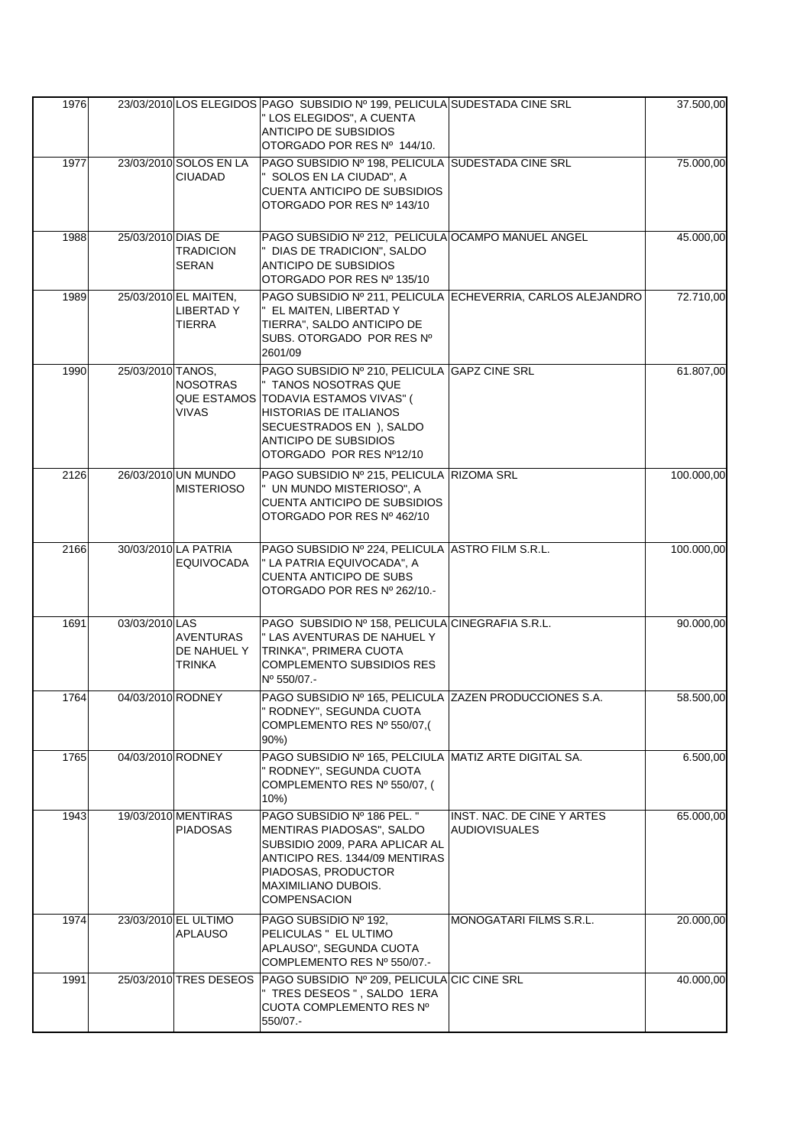| 1976 |                    |                                          | 23/03/2010 LOS ELEGIDOS PAGO SUBSIDIO Nº 199, PELICULA SUDESTADA CINE SRL       |                                                             | 37.500,00  |
|------|--------------------|------------------------------------------|---------------------------------------------------------------------------------|-------------------------------------------------------------|------------|
|      |                    |                                          | " LOS ELEGIDOS", A CUENTA                                                       |                                                             |            |
|      |                    |                                          | ANTICIPO DE SUBSIDIOS                                                           |                                                             |            |
|      |                    |                                          | OTORGADO POR RES Nº 144/10.                                                     |                                                             |            |
| 1977 |                    | 23/03/2010 SOLOS EN LA                   | PAGO SUBSIDIO Nº 198, PELICULA SUDESTADA CINE SRL                               |                                                             | 75.000,00  |
|      |                    | <b>CIUADAD</b>                           | " SOLOS EN LA CIUDAD", A                                                        |                                                             |            |
|      |                    |                                          | <b>CUENTA ANTICIPO DE SUBSIDIOS</b><br>OTORGADO POR RES Nº 143/10               |                                                             |            |
|      |                    |                                          |                                                                                 |                                                             |            |
| 1988 | 25/03/2010 DIAS DE |                                          | PAGO SUBSIDIO Nº 212, PELICULA OCAMPO MANUEL ANGEL                              |                                                             | 45.000,00  |
|      |                    | <b>TRADICION</b>                         | " DIAS DE TRADICION", SALDO                                                     |                                                             |            |
|      |                    | SERAN                                    | <b>ANTICIPO DE SUBSIDIOS</b>                                                    |                                                             |            |
|      |                    |                                          | OTORGADO POR RES Nº 135/10                                                      |                                                             |            |
| 1989 |                    | 25/03/2010 EL MAITEN,                    |                                                                                 | PAGO SUBSIDIO Nº 211, PELICULA ECHEVERRIA, CARLOS ALEJANDRO | 72.710,00  |
|      |                    | <b>LIBERTADY</b>                         | " EL MAITEN, LIBERTAD Y                                                         |                                                             |            |
|      |                    | TIERRA                                   | TIERRA", SALDO ANTICIPO DE<br>SUBS. OTORGADO POR RES Nº                         |                                                             |            |
|      |                    |                                          | 2601/09                                                                         |                                                             |            |
| 1990 | 25/03/2010 TANOS,  |                                          | PAGO SUBSIDIO Nº 210, PELICULA GAPZ CINE SRL                                    |                                                             | 61.807,00  |
|      |                    | <b>NOSOTRAS</b>                          | " TANOS NOSOTRAS QUE                                                            |                                                             |            |
|      |                    | <b>QUE ESTAMOS</b>                       | <b>TODAVIA ESTAMOS VIVAS" (</b>                                                 |                                                             |            |
|      |                    | <b>VIVAS</b>                             | HISTORIAS DE ITALIANOS                                                          |                                                             |            |
|      |                    |                                          | SECUESTRADOS EN ), SALDO                                                        |                                                             |            |
|      |                    |                                          | ANTICIPO DE SUBSIDIOS<br>OTORGADO POR RES Nº12/10                               |                                                             |            |
|      |                    |                                          |                                                                                 |                                                             |            |
| 2126 |                    | 26/03/2010 UN MUNDO<br><b>MISTERIOSO</b> | PAGO SUBSIDIO Nº 215, PELICULA RIZOMA SRL                                       |                                                             | 100.000,00 |
|      |                    |                                          | " UN MUNDO MISTERIOSO", A<br><b>CUENTA ANTICIPO DE SUBSIDIOS</b>                |                                                             |            |
|      |                    |                                          | OTORGADO POR RES Nº 462/10                                                      |                                                             |            |
|      |                    |                                          |                                                                                 |                                                             |            |
| 2166 |                    | 30/03/2010 LA PATRIA                     | PAGO SUBSIDIO Nº 224, PELICULA ASTRO FILM S.R.L.                                |                                                             | 100.000,00 |
|      |                    | <b>EQUIVOCADA</b>                        | " LA PATRIA EQUIVOCADA", A                                                      |                                                             |            |
|      |                    |                                          | <b>CUENTA ANTICIPO DE SUBS</b>                                                  |                                                             |            |
|      |                    |                                          | OTORGADO POR RES Nº 262/10.-                                                    |                                                             |            |
|      |                    |                                          |                                                                                 |                                                             |            |
| 1691 | 03/03/2010 LAS     | <b>AVENTURAS</b>                         | PAGO SUBSIDIO Nº 158, PELICULA CINEGRAFIA S.R.L.<br>" LAS AVENTURAS DE NAHUEL Y |                                                             | 90.000,00  |
|      |                    | DE NAHUEL Y                              | TRINKA", PRIMERA CUOTA                                                          |                                                             |            |
|      |                    | TRINKA                                   | COMPLEMENTO SUBSIDIOS RES                                                       |                                                             |            |
|      |                    |                                          | Nº 550/07.-                                                                     |                                                             |            |
| 1764 | 04/03/2010 RODNEY  |                                          | PAGO SUBSIDIO Nº 165, PELICULA ZAZEN PRODUCCIONES S.A.                          |                                                             | 58.500,00  |
|      |                    |                                          | RODNEY", SEGUNDA CUOTA                                                          |                                                             |            |
|      |                    |                                          | COMPLEMENTO RES Nº 550/07,(                                                     |                                                             |            |
|      |                    |                                          | 90%)                                                                            |                                                             |            |
| 1765 | 04/03/2010 RODNEY  |                                          | PAGO SUBSIDIO Nº 165, PELCIULA MATIZ ARTE DIGITAL SA.                           |                                                             | 6.500,00   |
|      |                    |                                          | " RODNEY", SEGUNDA CUOTA<br>COMPLEMENTO RES Nº 550/07, (                        |                                                             |            |
|      |                    |                                          | 10%                                                                             |                                                             |            |
| 1943 |                    | 19/03/2010 MENTIRAS                      | PAGO SUBSIDIO Nº 186 PEL. "                                                     | INST. NAC. DE CINE Y ARTES                                  | 65.000,00  |
|      |                    | <b>PIADOSAS</b>                          | MENTIRAS PIADOSAS", SALDO                                                       | <b>AUDIOVISUALES</b>                                        |            |
|      |                    |                                          | SUBSIDIO 2009, PARA APLICAR AL                                                  |                                                             |            |
|      |                    |                                          | ANTICIPO RES. 1344/09 MENTIRAS                                                  |                                                             |            |
|      |                    |                                          | PIADOSAS, PRODUCTOR                                                             |                                                             |            |
|      |                    |                                          | MAXIMILIANO DUBOIS.                                                             |                                                             |            |
|      |                    |                                          | <b>COMPENSACION</b>                                                             |                                                             |            |
| 1974 |                    | 23/03/2010 EL ULTIMO                     | PAGO SUBSIDIO Nº 192,                                                           | MONOGATARI FILMS S.R.L.                                     | 20.000,00  |
|      |                    | <b>APLAUSO</b>                           | PELICULAS " EL ULTIMO<br>APLAUSO", SEGUNDA CUOTA                                |                                                             |            |
|      |                    |                                          | COMPLEMENTO RES Nº 550/07.-                                                     |                                                             |            |
| 1991 |                    | 25/03/2010 TRES DESEOS                   | PAGO SUBSIDIO Nº 209, PELICULA CIC CINE SRL                                     |                                                             | 40.000,00  |
|      |                    |                                          | " TRES DESEOS ", SALDO 1ERA                                                     |                                                             |            |
|      |                    |                                          | CUOTA COMPLEMENTO RES Nº                                                        |                                                             |            |
|      |                    |                                          | 550/07.-                                                                        |                                                             |            |
|      |                    |                                          |                                                                                 |                                                             |            |